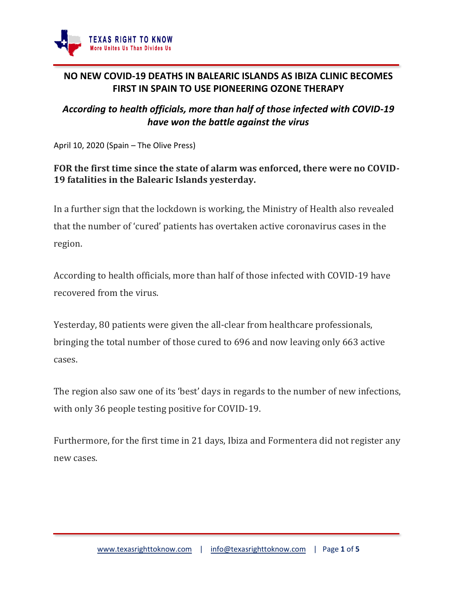

## **NO NEW COVID-19 DEATHS IN BALEARIC ISLANDS AS IBIZA CLINIC BECOMES FIRST IN SPAIN TO USE PIONEERING OZONE THERAPY**

## *According to health officials, more than half of those infected with COVID-19 have won the battle against the virus*

April 10, 2020 (Spain – The Olive Press)

## **FOR the first time since the state of alarm was enforced, there were no COVID-19 fatalities in the Balearic Islands yesterday.**

In a further sign that the lockdown is working, the Ministry of Health also revealed that the number of 'cured' patients has overtaken active coronavirus cases in the region.

According to health officials, more than half of those infected with COVID-19 have recovered from the virus.

Yesterday, 80 patients were given the all-clear from healthcare professionals, bringing the total number of those cured to 696 and now leaving only 663 active cases.

The region also saw one of its 'best' days in regards to the number of new infections, with only 36 people testing positive for COVID-19.

Furthermore, for the first time in 21 days, Ibiza and Formentera did not register any new cases.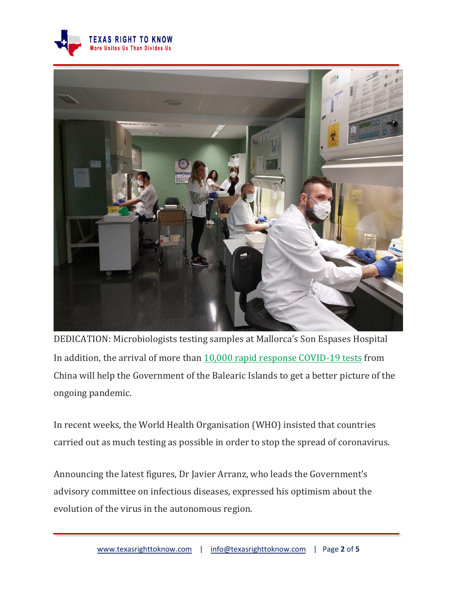



DEDICATION: Microbiologists testing samples at Mallorca's Son Espases Hospital In addition, the arrival of more than [10,000 rapid response COVID-19 tests](https://www.theolivepress.es/spain-news/2020/03/30/watch-first-russian-plane-lands-in-spains-mallorca-from-china-to-deliver-17-tonnes-of-medical-supplies/) from China will help the Government of the Balearic Islands to get a better picture of the ongoing pandemic.

In recent weeks, the World Health Organisation (WHO) insisted that countries carried out as much testing as possible in order to stop the spread of coronavirus.

Announcing the latest figures, Dr Javier Arranz, who leads the Government's advisory committee on infectious diseases, expressed his optimism about the evolution of the virus in the autonomous region.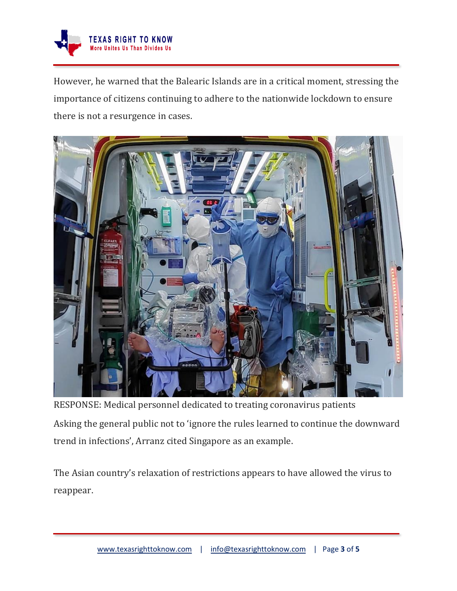

However, he warned that the Balearic Islands are in a critical moment, stressing the importance of citizens continuing to adhere to the nationwide lockdown to ensure there is not a resurgence in cases.



RESPONSE: Medical personnel dedicated to treating coronavirus patients Asking the general public not to 'ignore the rules learned to continue the downward trend in infections', Arranz cited Singapore as an example.

The Asian country's relaxation of restrictions appears to have allowed the virus to reappear.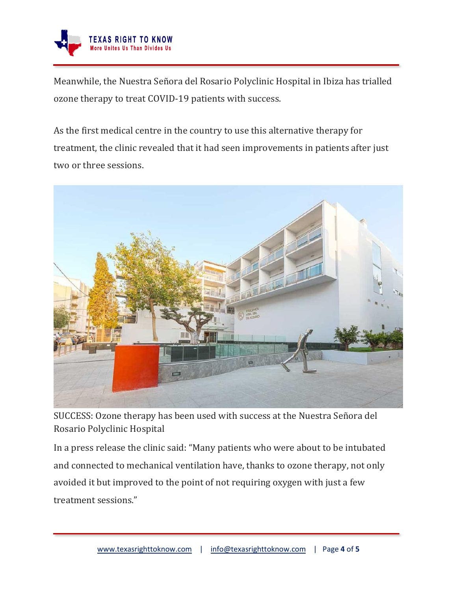

Meanwhile, the Nuestra Señora del Rosario Polyclinic Hospital in Ibiza has trialled ozone therapy to treat COVID-19 patients with success.

As the first medical centre in the country to use this alternative therapy for treatment, the clinic revealed that it had seen improvements in patients after just two or three sessions.



SUCCESS: Ozone therapy has been used with success at the Nuestra Señora del Rosario Polyclinic Hospital

In a press release the clinic said: "Many patients who were about to be intubated and connected to mechanical ventilation have, thanks to ozone therapy, not only avoided it but improved to the point of not requiring oxygen with just a few treatment sessions."